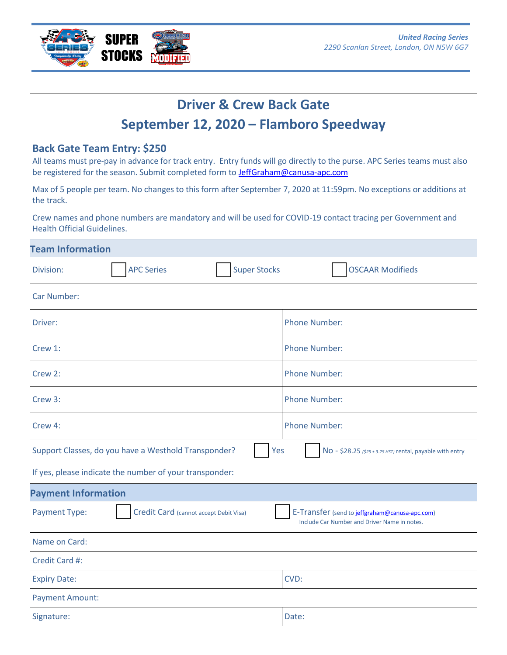

| <b>Driver &amp; Crew Back Gate</b>                                                                                                                                                                                                                        |                                                                                                |
|-----------------------------------------------------------------------------------------------------------------------------------------------------------------------------------------------------------------------------------------------------------|------------------------------------------------------------------------------------------------|
| September 12, 2020 – Flamboro Speedway                                                                                                                                                                                                                    |                                                                                                |
| <b>Back Gate Team Entry: \$250</b><br>All teams must pre-pay in advance for track entry. Entry funds will go directly to the purse. APC Series teams must also<br>be registered for the season. Submit completed form to <b>JeffGraham@canusa-apc.com</b> |                                                                                                |
| Max of 5 people per team. No changes to this form after September 7, 2020 at 11:59pm. No exceptions or additions at<br>the track.                                                                                                                         |                                                                                                |
| Crew names and phone numbers are mandatory and will be used for COVID-19 contact tracing per Government and<br><b>Health Official Guidelines.</b>                                                                                                         |                                                                                                |
| <b>Team Information</b>                                                                                                                                                                                                                                   |                                                                                                |
| <b>APC Series</b><br><b>Super Stocks</b><br>Division:                                                                                                                                                                                                     | <b>OSCAAR Modifieds</b>                                                                        |
| <b>Car Number:</b>                                                                                                                                                                                                                                        |                                                                                                |
| Driver:                                                                                                                                                                                                                                                   | <b>Phone Number:</b>                                                                           |
| Crew 1:                                                                                                                                                                                                                                                   | <b>Phone Number:</b>                                                                           |
| Crew 2:                                                                                                                                                                                                                                                   | <b>Phone Number:</b>                                                                           |
| Crew 3:                                                                                                                                                                                                                                                   | <b>Phone Number:</b>                                                                           |
| Crew 4:                                                                                                                                                                                                                                                   | <b>Phone Number:</b>                                                                           |
| Support Classes, do you have a Westhold Transponder?<br>Yes                                                                                                                                                                                               | No - \$28.25 (\$25 + 3.25 HST) rental, payable with entry                                      |
| If yes, please indicate the number of your transponder:                                                                                                                                                                                                   |                                                                                                |
| <b>Payment Information</b>                                                                                                                                                                                                                                |                                                                                                |
| Credit Card (cannot accept Debit Visa)<br><b>Payment Type:</b>                                                                                                                                                                                            | E-Transfer (send to jeffgraham@canusa-apc.com)<br>Include Car Number and Driver Name in notes. |
| Name on Card:                                                                                                                                                                                                                                             |                                                                                                |
| Credit Card #:                                                                                                                                                                                                                                            |                                                                                                |
| <b>Expiry Date:</b>                                                                                                                                                                                                                                       | CVD:                                                                                           |
| <b>Payment Amount:</b>                                                                                                                                                                                                                                    |                                                                                                |
| Signature:                                                                                                                                                                                                                                                | Date:                                                                                          |